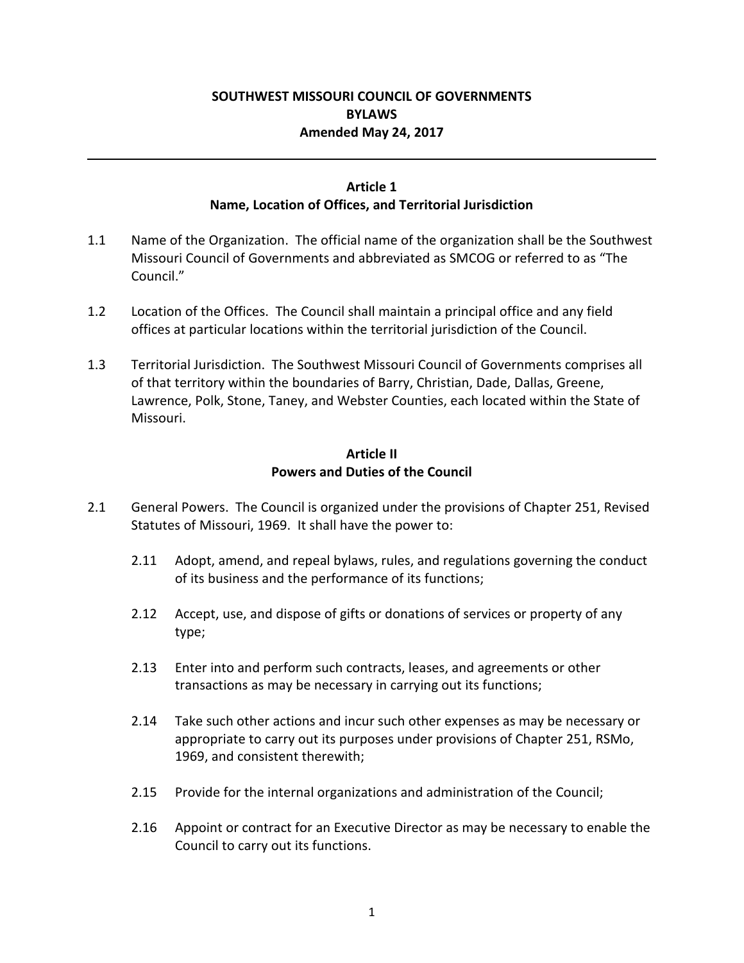#### **SOUTHWEST MISSOURI COUNCIL OF GOVERNMENTS BYLAWS Amended May 24, 2017**

#### **Article 1 Name, Location of Offices, and Territorial Jurisdiction**

- 1.1 Name of the Organization. The official name of the organization shall be the Southwest Missouri Council of Governments and abbreviated as SMCOG or referred to as "The Council."
- 1.2 Location of the Offices. The Council shall maintain a principal office and any field offices at particular locations within the territorial jurisdiction of the Council.
- 1.3 Territorial Jurisdiction. The Southwest Missouri Council of Governments comprises all of that territory within the boundaries of Barry, Christian, Dade, Dallas, Greene, Lawrence, Polk, Stone, Taney, and Webster Counties, each located within the State of Missouri.

#### **Article II Powers and Duties of the Council**

- 2.1 General Powers. The Council is organized under the provisions of Chapter 251, Revised Statutes of Missouri, 1969. It shall have the power to:
	- 2.11 Adopt, amend, and repeal bylaws, rules, and regulations governing the conduct of its business and the performance of its functions;
	- 2.12 Accept, use, and dispose of gifts or donations of services or property of any type;
	- 2.13 Enter into and perform such contracts, leases, and agreements or other transactions as may be necessary in carrying out its functions;
	- 2.14 Take such other actions and incur such other expenses as may be necessary or appropriate to carry out its purposes under provisions of Chapter 251, RSMo, 1969, and consistent therewith;
	- 2.15 Provide for the internal organizations and administration of the Council;
	- 2.16 Appoint or contract for an Executive Director as may be necessary to enable the Council to carry out its functions.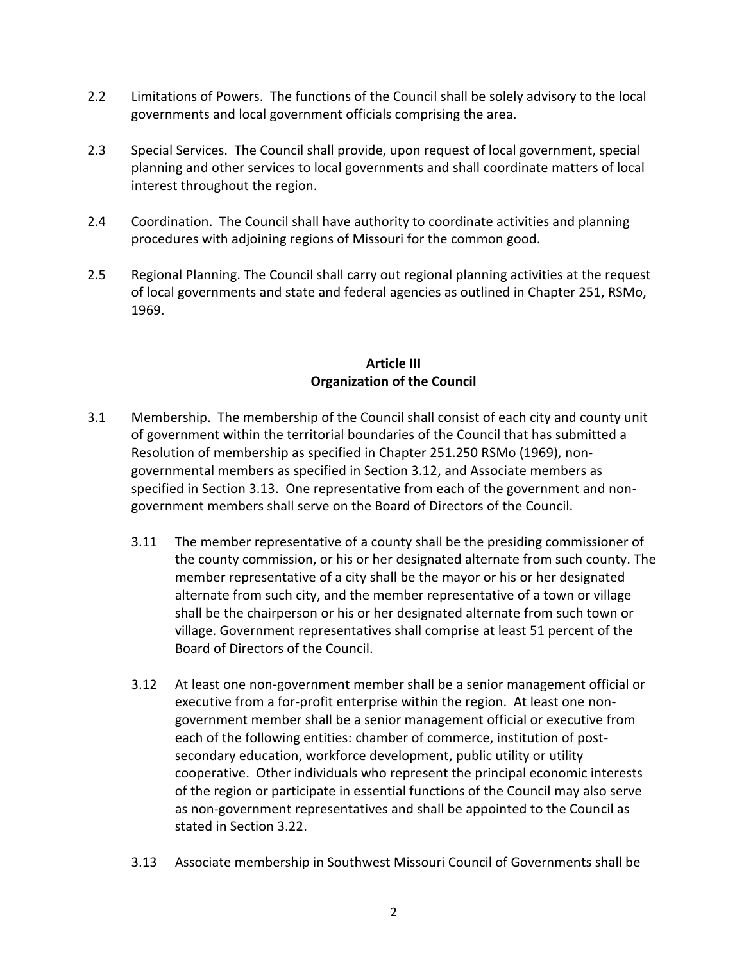- 2.2 Limitations of Powers. The functions of the Council shall be solely advisory to the local governments and local government officials comprising the area.
- 2.3 Special Services. The Council shall provide, upon request of local government, special planning and other services to local governments and shall coordinate matters of local interest throughout the region.
- 2.4 Coordination. The Council shall have authority to coordinate activities and planning procedures with adjoining regions of Missouri for the common good.
- 2.5 Regional Planning. The Council shall carry out regional planning activities at the request of local governments and state and federal agencies as outlined in Chapter 251, RSMo, 1969.

## **Article III Organization of the Council**

- 3.1 Membership. The membership of the Council shall consist of each city and county unit of government within the territorial boundaries of the Council that has submitted a Resolution of membership as specified in Chapter 251.250 RSMo (1969), nongovernmental members as specified in Section 3.12, and Associate members as specified in Section 3.13. One representative from each of the government and nongovernment members shall serve on the Board of Directors of the Council.
	- 3.11 The member representative of a county shall be the presiding commissioner of the county commission, or his or her designated alternate from such county. The member representative of a city shall be the mayor or his or her designated alternate from such city, and the member representative of a town or village shall be the chairperson or his or her designated alternate from such town or village. Government representatives shall comprise at least 51 percent of the Board of Directors of the Council.
	- 3.12 At least one non-government member shall be a senior management official or executive from a for-profit enterprise within the region. At least one nongovernment member shall be a senior management official or executive from each of the following entities: chamber of commerce, institution of postsecondary education, workforce development, public utility or utility cooperative. Other individuals who represent the principal economic interests of the region or participate in essential functions of the Council may also serve as non-government representatives and shall be appointed to the Council as stated in Section 3.22.
	- 3.13 Associate membership in Southwest Missouri Council of Governments shall be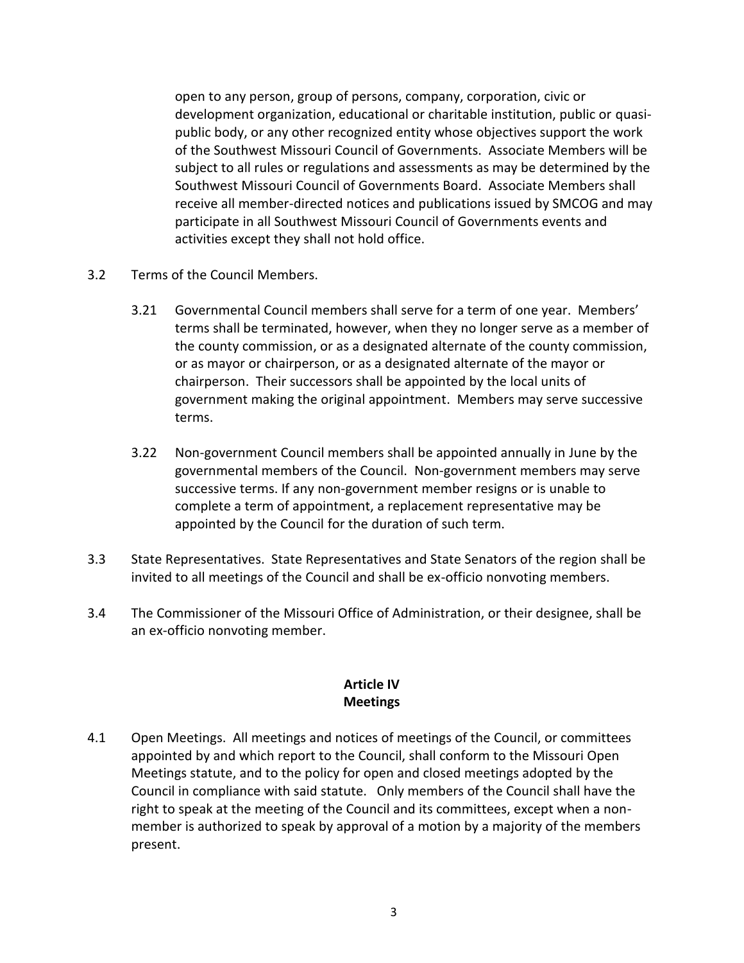open to any person, group of persons, company, corporation, civic or development organization, educational or charitable institution, public or quasipublic body, or any other recognized entity whose objectives support the work of the Southwest Missouri Council of Governments. Associate Members will be subject to all rules or regulations and assessments as may be determined by the Southwest Missouri Council of Governments Board. Associate Members shall receive all member-directed notices and publications issued by SMCOG and may participate in all Southwest Missouri Council of Governments events and activities except they shall not hold office.

- 3.2 Terms of the Council Members.
	- 3.21 Governmental Council members shall serve for a term of one year. Members' terms shall be terminated, however, when they no longer serve as a member of the county commission, or as a designated alternate of the county commission, or as mayor or chairperson, or as a designated alternate of the mayor or chairperson. Their successors shall be appointed by the local units of government making the original appointment. Members may serve successive terms.
	- 3.22 Non-government Council members shall be appointed annually in June by the governmental members of the Council. Non-government members may serve successive terms. If any non-government member resigns or is unable to complete a term of appointment, a replacement representative may be appointed by the Council for the duration of such term.
- 3.3 State Representatives. State Representatives and State Senators of the region shall be invited to all meetings of the Council and shall be ex-officio nonvoting members.
- 3.4 The Commissioner of the Missouri Office of Administration, or their designee, shall be an ex-officio nonvoting member.

# **Article IV Meetings**

4.1 Open Meetings. All meetings and notices of meetings of the Council, or committees appointed by and which report to the Council, shall conform to the Missouri Open Meetings statute, and to the policy for open and closed meetings adopted by the Council in compliance with said statute. Only members of the Council shall have the right to speak at the meeting of the Council and its committees, except when a nonmember is authorized to speak by approval of a motion by a majority of the members present.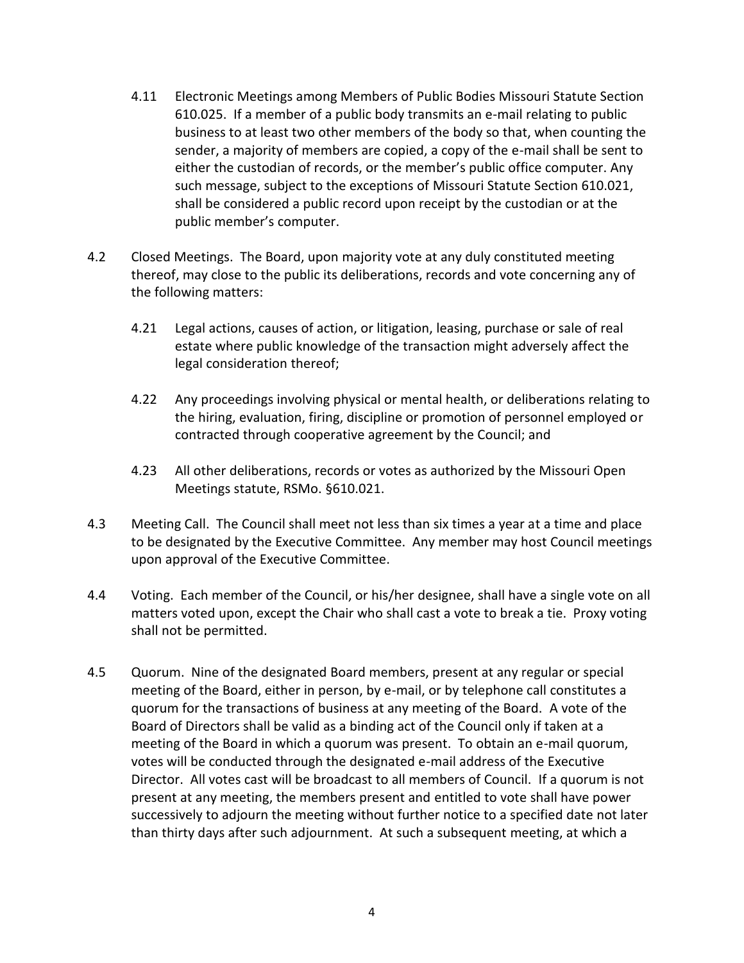- 4.11 Electronic Meetings among Members of Public Bodies Missouri Statute Section 610.025. If a member of a public body transmits an e-mail relating to public business to at least two other members of the body so that, when counting the sender, a majority of members are copied, a copy of the e-mail shall be sent to either the custodian of records, or the member's public office computer. Any such message, subject to the exceptions of Missouri Statute Section 610.021, shall be considered a public record upon receipt by the custodian or at the public member's computer.
- 4.2 Closed Meetings. The Board, upon majority vote at any duly constituted meeting thereof, may close to the public its deliberations, records and vote concerning any of the following matters:
	- 4.21 Legal actions, causes of action, or litigation, leasing, purchase or sale of real estate where public knowledge of the transaction might adversely affect the legal consideration thereof;
	- 4.22 Any proceedings involving physical or mental health, or deliberations relating to the hiring, evaluation, firing, discipline or promotion of personnel employed or contracted through cooperative agreement by the Council; and
	- 4.23 All other deliberations, records or votes as authorized by the Missouri Open Meetings statute, RSMo. §610.021.
- 4.3 Meeting Call. The Council shall meet not less than six times a year at a time and place to be designated by the Executive Committee. Any member may host Council meetings upon approval of the Executive Committee.
- 4.4 Voting. Each member of the Council, or his/her designee, shall have a single vote on all matters voted upon, except the Chair who shall cast a vote to break a tie. Proxy voting shall not be permitted.
- 4.5 Quorum. Nine of the designated Board members, present at any regular or special meeting of the Board, either in person, by e-mail, or by telephone call constitutes a quorum for the transactions of business at any meeting of the Board. A vote of the Board of Directors shall be valid as a binding act of the Council only if taken at a meeting of the Board in which a quorum was present. To obtain an e-mail quorum, votes will be conducted through the designated e-mail address of the Executive Director. All votes cast will be broadcast to all members of Council. If a quorum is not present at any meeting, the members present and entitled to vote shall have power successively to adjourn the meeting without further notice to a specified date not later than thirty days after such adjournment. At such a subsequent meeting, at which a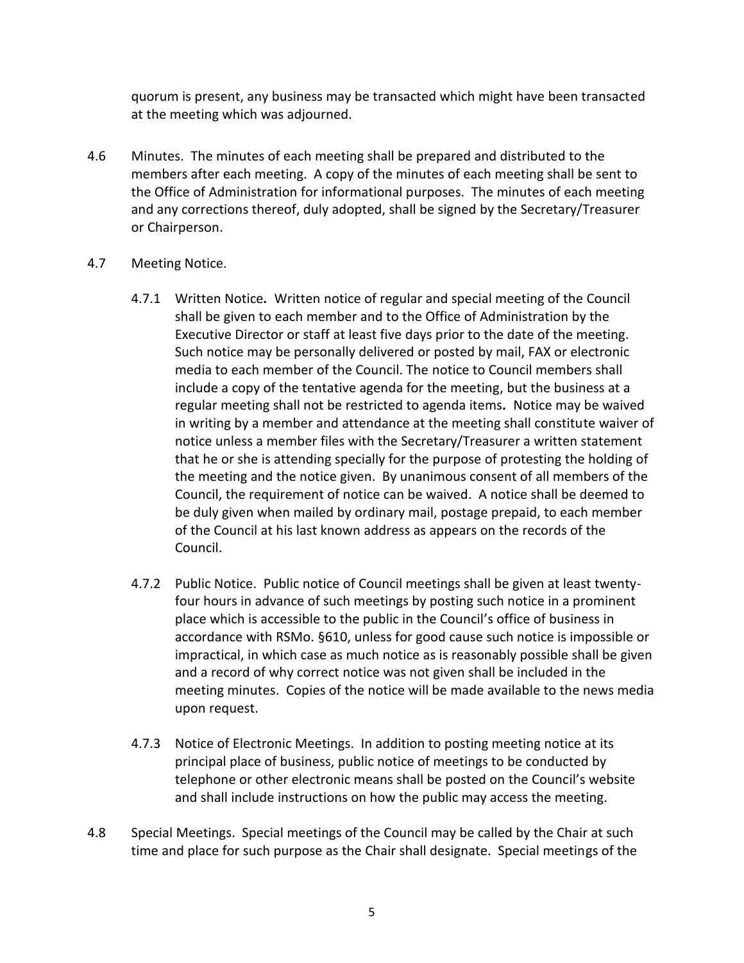quorum is present, any business may be transacted which might have been transacted at the meeting which was adjourned.

- 4.6 Minutes. The minutes of each meeting shall be prepared and distributed to the members after each meeting. A copy of the minutes of each meeting shall be sent to the Office of Administration for informational purposes. The minutes of each meeting and any corrections thereof, duly adopted, shall be signed by the Secretary/Treasurer or Chairperson.
- 4.7 Meeting Notice.
	- 4.7.1 Written Notice*.* Written notice of regular and special meeting of the Council shall be given to each member and to the Office of Administration by the Executive Director or staff at least five days prior to the date of the meeting. Such notice may be personally delivered or posted by mail, FAX or electronic media to each member of the Council. The notice to Council members shall include a copy of the tentative agenda for the meeting, but the business at a regular meeting shall not be restricted to agenda items*.* Notice may be waived in writing by a member and attendance at the meeting shall constitute waiver of notice unless a member files with the Secretary/Treasurer a written statement that he or she is attending specially for the purpose of protesting the holding of the meeting and the notice given. By unanimous consent of all members of the Council, the requirement of notice can be waived. A notice shall be deemed to be duly given when mailed by ordinary mail, postage prepaid, to each member of the Council at his last known address as appears on the records of the Council.
	- 4.7.2 Public Notice. Public notice of Council meetings shall be given at least twentyfour hours in advance of such meetings by posting such notice in a prominent place which is accessible to the public in the Council's office of business in accordance with RSMo. §610, unless for good cause such notice is impossible or impractical, in which case as much notice as is reasonably possible shall be given and a record of why correct notice was not given shall be included in the meeting minutes. Copies of the notice will be made available to the news media upon request.
	- 4.7.3 Notice of Electronic Meetings. In addition to posting meeting notice at its principal place of business, public notice of meetings to be conducted by telephone or other electronic means shall be posted on the Council's website and shall include instructions on how the public may access the meeting.
- 4.8 Special Meetings. Special meetings of the Council may be called by the Chair at such time and place for such purpose as the Chair shall designate. Special meetings of the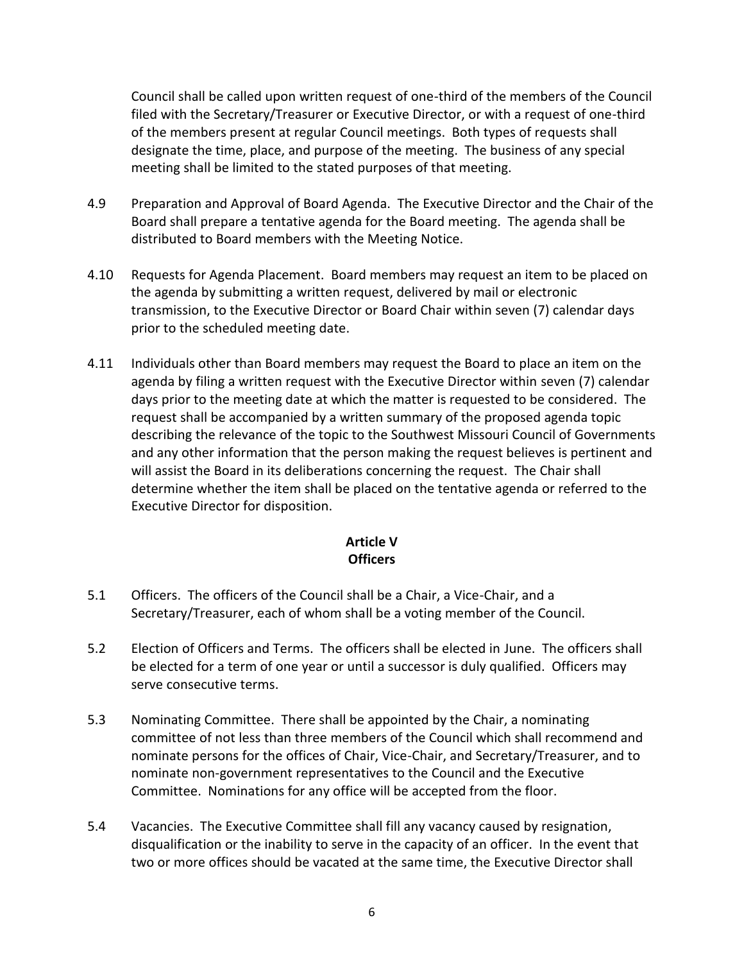Council shall be called upon written request of one-third of the members of the Council filed with the Secretary/Treasurer or Executive Director, or with a request of one-third of the members present at regular Council meetings. Both types of requests shall designate the time, place, and purpose of the meeting. The business of any special meeting shall be limited to the stated purposes of that meeting.

- 4.9 Preparation and Approval of Board Agenda. The Executive Director and the Chair of the Board shall prepare a tentative agenda for the Board meeting. The agenda shall be distributed to Board members with the Meeting Notice.
- 4.10 Requests for Agenda Placement. Board members may request an item to be placed on the agenda by submitting a written request, delivered by mail or electronic transmission, to the Executive Director or Board Chair within seven (7) calendar days prior to the scheduled meeting date.
- 4.11 Individuals other than Board members may request the Board to place an item on the agenda by filing a written request with the Executive Director within seven (7) calendar days prior to the meeting date at which the matter is requested to be considered. The request shall be accompanied by a written summary of the proposed agenda topic describing the relevance of the topic to the Southwest Missouri Council of Governments and any other information that the person making the request believes is pertinent and will assist the Board in its deliberations concerning the request. The Chair shall determine whether the item shall be placed on the tentative agenda or referred to the Executive Director for disposition.

## **Article V Officers**

- 5.1 Officers. The officers of the Council shall be a Chair, a Vice-Chair, and a Secretary/Treasurer, each of whom shall be a voting member of the Council.
- 5.2 Election of Officers and Terms. The officers shall be elected in June. The officers shall be elected for a term of one year or until a successor is duly qualified. Officers may serve consecutive terms.
- 5.3 Nominating Committee. There shall be appointed by the Chair, a nominating committee of not less than three members of the Council which shall recommend and nominate persons for the offices of Chair, Vice-Chair, and Secretary/Treasurer, and to nominate non-government representatives to the Council and the Executive Committee. Nominations for any office will be accepted from the floor.
- 5.4 Vacancies. The Executive Committee shall fill any vacancy caused by resignation, disqualification or the inability to serve in the capacity of an officer. In the event that two or more offices should be vacated at the same time, the Executive Director shall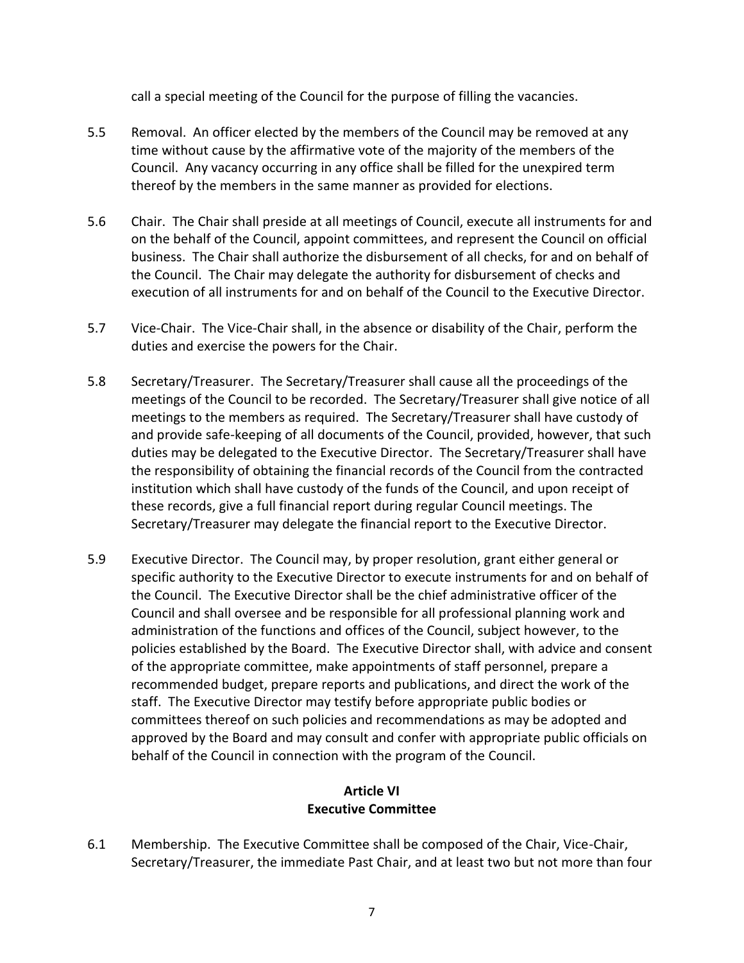call a special meeting of the Council for the purpose of filling the vacancies.

- 5.5 Removal. An officer elected by the members of the Council may be removed at any time without cause by the affirmative vote of the majority of the members of the Council. Any vacancy occurring in any office shall be filled for the unexpired term thereof by the members in the same manner as provided for elections.
- 5.6 Chair. The Chair shall preside at all meetings of Council, execute all instruments for and on the behalf of the Council, appoint committees, and represent the Council on official business. The Chair shall authorize the disbursement of all checks, for and on behalf of the Council. The Chair may delegate the authority for disbursement of checks and execution of all instruments for and on behalf of the Council to the Executive Director.
- 5.7 Vice-Chair. The Vice-Chair shall, in the absence or disability of the Chair, perform the duties and exercise the powers for the Chair.
- 5.8 Secretary/Treasurer. The Secretary/Treasurer shall cause all the proceedings of the meetings of the Council to be recorded. The Secretary/Treasurer shall give notice of all meetings to the members as required. The Secretary/Treasurer shall have custody of and provide safe-keeping of all documents of the Council, provided, however, that such duties may be delegated to the Executive Director. The Secretary/Treasurer shall have the responsibility of obtaining the financial records of the Council from the contracted institution which shall have custody of the funds of the Council, and upon receipt of these records, give a full financial report during regular Council meetings. The Secretary/Treasurer may delegate the financial report to the Executive Director.
- 5.9 Executive Director. The Council may, by proper resolution, grant either general or specific authority to the Executive Director to execute instruments for and on behalf of the Council. The Executive Director shall be the chief administrative officer of the Council and shall oversee and be responsible for all professional planning work and administration of the functions and offices of the Council, subject however, to the policies established by the Board. The Executive Director shall, with advice and consent of the appropriate committee, make appointments of staff personnel, prepare a recommended budget, prepare reports and publications, and direct the work of the staff. The Executive Director may testify before appropriate public bodies or committees thereof on such policies and recommendations as may be adopted and approved by the Board and may consult and confer with appropriate public officials on behalf of the Council in connection with the program of the Council.

## **Article VI Executive Committee**

6.1 Membership. The Executive Committee shall be composed of the Chair, Vice-Chair, Secretary/Treasurer, the immediate Past Chair, and at least two but not more than four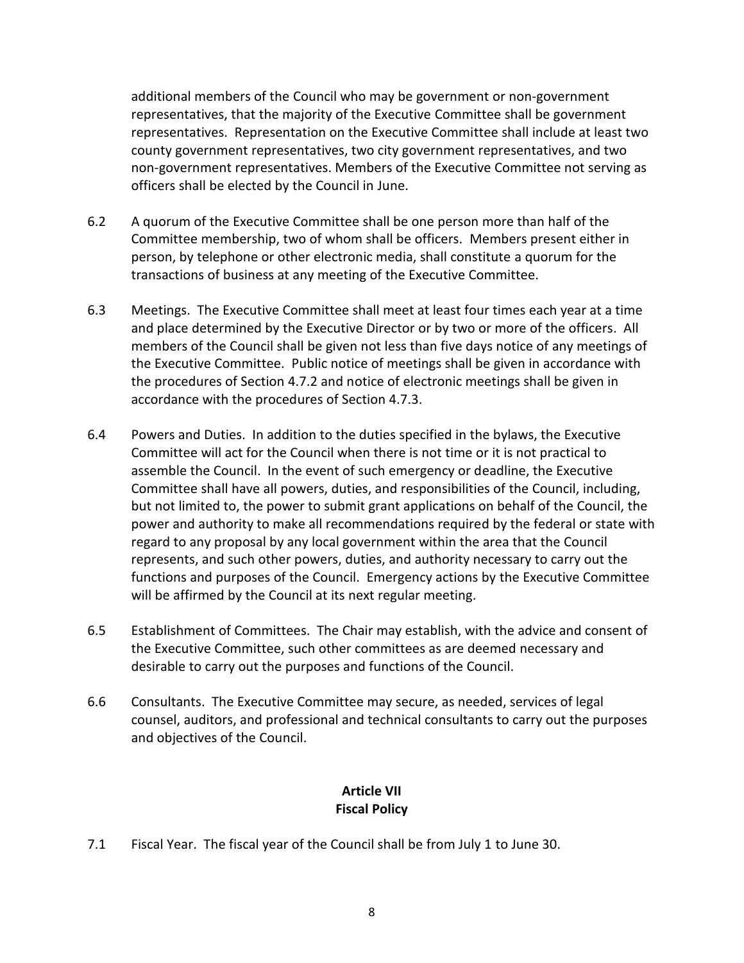additional members of the Council who may be government or non-government representatives, that the majority of the Executive Committee shall be government representatives. Representation on the Executive Committee shall include at least two county government representatives, two city government representatives, and two non-government representatives. Members of the Executive Committee not serving as officers shall be elected by the Council in June.

- 6.2 A quorum of the Executive Committee shall be one person more than half of the Committee membership, two of whom shall be officers. Members present either in person, by telephone or other electronic media, shall constitute a quorum for the transactions of business at any meeting of the Executive Committee.
- 6.3 Meetings. The Executive Committee shall meet at least four times each year at a time and place determined by the Executive Director or by two or more of the officers. All members of the Council shall be given not less than five days notice of any meetings of the Executive Committee. Public notice of meetings shall be given in accordance with the procedures of Section 4.7.2 and notice of electronic meetings shall be given in accordance with the procedures of Section 4.7.3.
- 6.4 Powers and Duties. In addition to the duties specified in the bylaws, the Executive Committee will act for the Council when there is not time or it is not practical to assemble the Council. In the event of such emergency or deadline, the Executive Committee shall have all powers, duties, and responsibilities of the Council, including, but not limited to, the power to submit grant applications on behalf of the Council, the power and authority to make all recommendations required by the federal or state with regard to any proposal by any local government within the area that the Council represents, and such other powers, duties, and authority necessary to carry out the functions and purposes of the Council. Emergency actions by the Executive Committee will be affirmed by the Council at its next regular meeting.
- 6.5 Establishment of Committees. The Chair may establish, with the advice and consent of the Executive Committee, such other committees as are deemed necessary and desirable to carry out the purposes and functions of the Council.
- 6.6 Consultants. The Executive Committee may secure, as needed, services of legal counsel, auditors, and professional and technical consultants to carry out the purposes and objectives of the Council.

## **Article VII Fiscal Policy**

7.1 Fiscal Year. The fiscal year of the Council shall be from July 1 to June 30.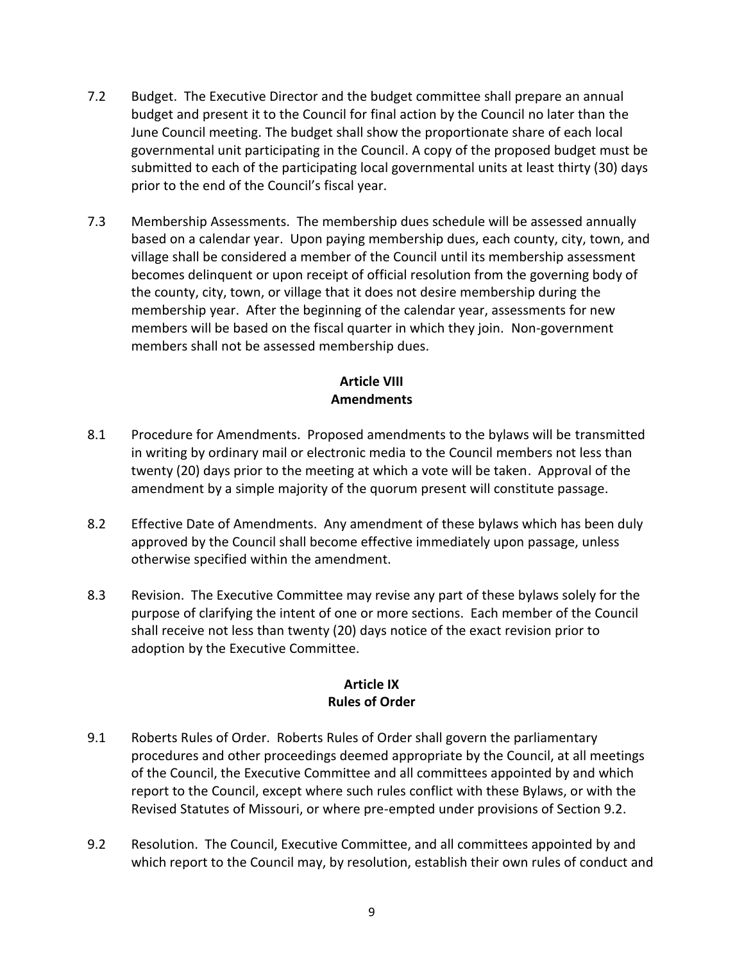- 7.2 Budget. The Executive Director and the budget committee shall prepare an annual budget and present it to the Council for final action by the Council no later than the June Council meeting. The budget shall show the proportionate share of each local governmental unit participating in the Council. A copy of the proposed budget must be submitted to each of the participating local governmental units at least thirty (30) days prior to the end of the Council's fiscal year.
- 7.3 Membership Assessments. The membership dues schedule will be assessed annually based on a calendar year. Upon paying membership dues, each county, city, town, and village shall be considered a member of the Council until its membership assessment becomes delinquent or upon receipt of official resolution from the governing body of the county, city, town, or village that it does not desire membership during the membership year. After the beginning of the calendar year, assessments for new members will be based on the fiscal quarter in which they join. Non-government members shall not be assessed membership dues.

## **Article VIII Amendments**

- 8.1 Procedure for Amendments. Proposed amendments to the bylaws will be transmitted in writing by ordinary mail or electronic media to the Council members not less than twenty (20) days prior to the meeting at which a vote will be taken. Approval of the amendment by a simple majority of the quorum present will constitute passage.
- 8.2 Effective Date of Amendments. Any amendment of these bylaws which has been duly approved by the Council shall become effective immediately upon passage, unless otherwise specified within the amendment.
- 8.3 Revision. The Executive Committee may revise any part of these bylaws solely for the purpose of clarifying the intent of one or more sections. Each member of the Council shall receive not less than twenty (20) days notice of the exact revision prior to adoption by the Executive Committee.

## **Article IX Rules of Order**

- 9.1 Roberts Rules of Order. Roberts Rules of Order shall govern the parliamentary procedures and other proceedings deemed appropriate by the Council, at all meetings of the Council, the Executive Committee and all committees appointed by and which report to the Council, except where such rules conflict with these Bylaws, or with the Revised Statutes of Missouri, or where pre-empted under provisions of Section 9.2.
- 9.2 Resolution. The Council, Executive Committee, and all committees appointed by and which report to the Council may, by resolution, establish their own rules of conduct and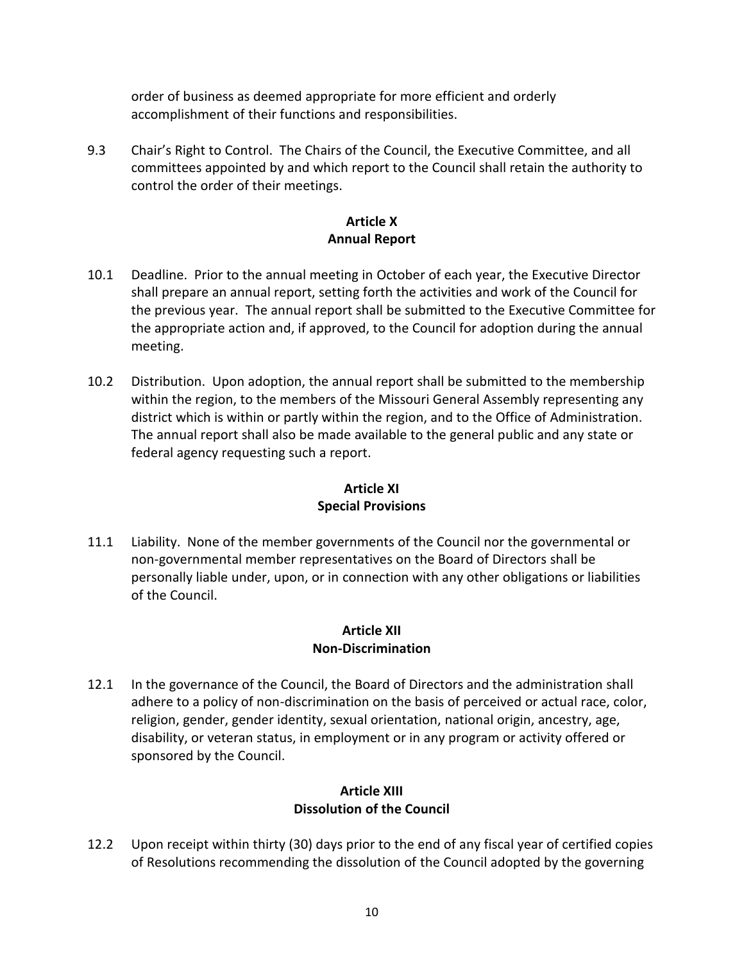order of business as deemed appropriate for more efficient and orderly accomplishment of their functions and responsibilities.

9.3 Chair's Right to Control. The Chairs of the Council, the Executive Committee, and all committees appointed by and which report to the Council shall retain the authority to control the order of their meetings.

## **Article X Annual Report**

- 10.1 Deadline. Prior to the annual meeting in October of each year, the Executive Director shall prepare an annual report, setting forth the activities and work of the Council for the previous year. The annual report shall be submitted to the Executive Committee for the appropriate action and, if approved, to the Council for adoption during the annual meeting.
- 10.2 Distribution. Upon adoption, the annual report shall be submitted to the membership within the region, to the members of the Missouri General Assembly representing any district which is within or partly within the region, and to the Office of Administration. The annual report shall also be made available to the general public and any state or federal agency requesting such a report.

# **Article XI Special Provisions**

11.1 Liability. None of the member governments of the Council nor the governmental or non-governmental member representatives on the Board of Directors shall be personally liable under, upon, or in connection with any other obligations or liabilities of the Council.

## **Article XII Non-Discrimination**

12.1 In the governance of the Council, the Board of Directors and the administration shall adhere to a policy of non-discrimination on the basis of perceived or actual race, color, religion, gender, gender identity, sexual orientation, national origin, ancestry, age, disability, or veteran status, in employment or in any program or activity offered or sponsored by the Council.

## **Article XIII Dissolution of the Council**

12.2 Upon receipt within thirty (30) days prior to the end of any fiscal year of certified copies of Resolutions recommending the dissolution of the Council adopted by the governing